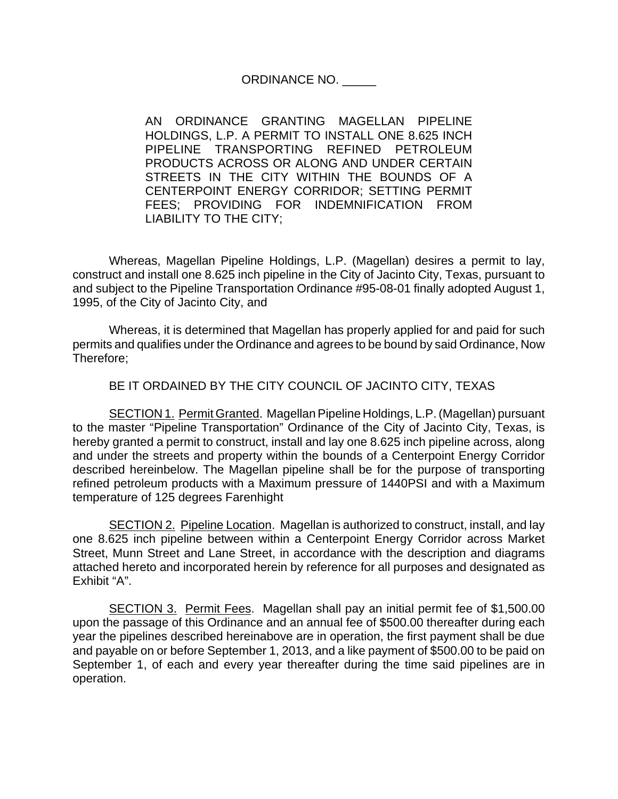ORDINANCE NO. \_\_\_\_\_

AN ORDINANCE GRANTING MAGELLAN PIPELINE HOLDINGS, L.P. A PERMIT TO INSTALL ONE 8.625 INCH PIPELINE TRANSPORTING REFINED PETROLEUM PRODUCTS ACROSS OR ALONG AND UNDER CERTAIN STREETS IN THE CITY WITHIN THE BOUNDS OF A CENTERPOINT ENERGY CORRIDOR; SETTING PERMIT FEES; PROVIDING FOR INDEMNIFICATION FROM LIABILITY TO THE CITY;

Whereas, Magellan Pipeline Holdings, L.P. (Magellan) desires a permit to lay, construct and install one 8.625 inch pipeline in the City of Jacinto City, Texas, pursuant to and subject to the Pipeline Transportation Ordinance #95-08-01 finally adopted August 1, 1995, of the City of Jacinto City, and

Whereas, it is determined that Magellan has properly applied for and paid for such permits and qualifies under the Ordinance and agrees to be bound by said Ordinance, Now Therefore;

BE IT ORDAINED BY THE CITY COUNCIL OF JACINTO CITY, TEXAS

SECTION 1. Permit Granted. Magellan Pipeline Holdings, L.P. (Magellan) pursuant to the master "Pipeline Transportation" Ordinance of the City of Jacinto City, Texas, is hereby granted a permit to construct, install and lay one 8.625 inch pipeline across, along and under the streets and property within the bounds of a Centerpoint Energy Corridor described hereinbelow. The Magellan pipeline shall be for the purpose of transporting refined petroleum products with a Maximum pressure of 1440PSI and with a Maximum temperature of 125 degrees Farenhight

**SECTION 2. Pipeline Location.** Magellan is authorized to construct, install, and lay one 8.625 inch pipeline between within a Centerpoint Energy Corridor across Market Street, Munn Street and Lane Street, in accordance with the description and diagrams attached hereto and incorporated herein by reference for all purposes and designated as Exhibit "A".

SECTION 3. Permit Fees. Magellan shall pay an initial permit fee of \$1,500.00 upon the passage of this Ordinance and an annual fee of \$500.00 thereafter during each year the pipelines described hereinabove are in operation, the first payment shall be due and payable on or before September 1, 2013, and a like payment of \$500.00 to be paid on September 1, of each and every year thereafter during the time said pipelines are in operation.